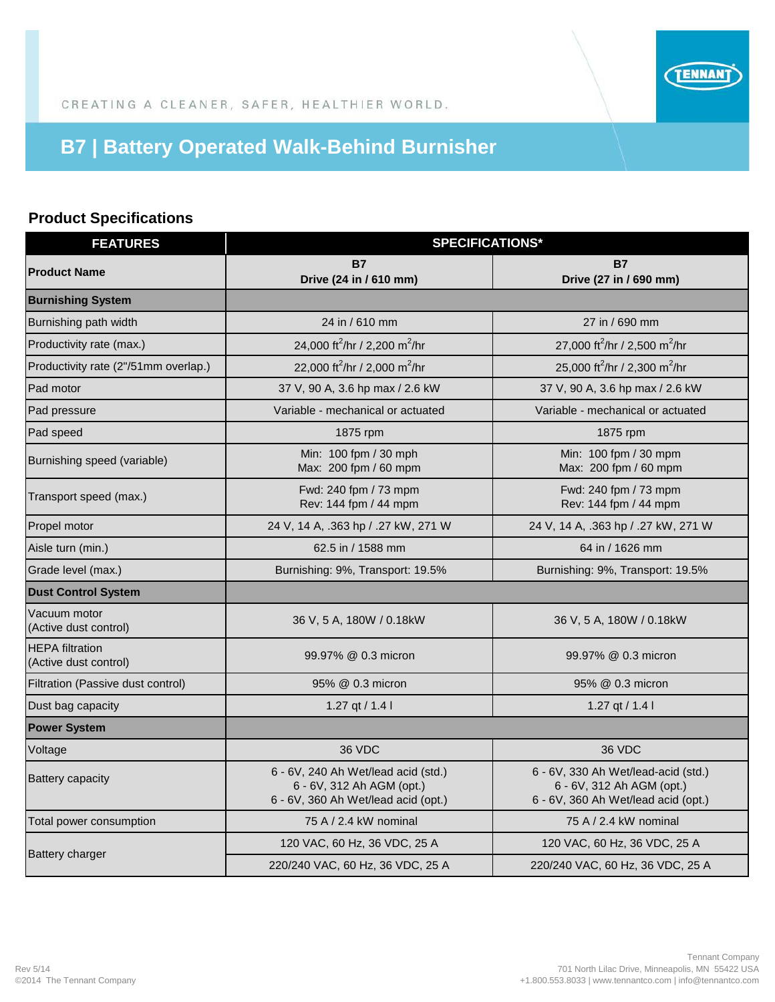

CREATING A CLEANER, SAFER, HEALTHIER WORLD.

## **B7 | Battery Operated Walk-Behind Burnisher**

## **Product Specifications**

| <b>FEATURES</b>                                 | <b>SPECIFICATIONS*</b>                                                                                  |                                                                                                         |
|-------------------------------------------------|---------------------------------------------------------------------------------------------------------|---------------------------------------------------------------------------------------------------------|
| <b>Product Name</b>                             | <b>B7</b><br>Drive (24 in / 610 mm)                                                                     | <b>B7</b><br>Drive (27 in / 690 mm)                                                                     |
| <b>Burnishing System</b>                        |                                                                                                         |                                                                                                         |
| Burnishing path width                           | 24 in / 610 mm                                                                                          | 27 in / 690 mm                                                                                          |
| Productivity rate (max.)                        | 24,000 ft <sup>2</sup> /hr / 2,200 m <sup>2</sup> /hr                                                   | 27,000 ft <sup>2</sup> /hr / 2,500 m <sup>2</sup> /hr                                                   |
| Productivity rate (2"/51mm overlap.)            | 22,000 ft <sup>2</sup> /hr / 2,000 m <sup>2</sup> /hr                                                   | 25,000 ft <sup>2</sup> /hr / 2,300 m <sup>2</sup> /hr                                                   |
| Pad motor                                       | 37 V, 90 A, 3.6 hp max / 2.6 kW                                                                         | 37 V, 90 A, 3.6 hp max / 2.6 kW                                                                         |
| Pad pressure                                    | Variable - mechanical or actuated                                                                       | Variable - mechanical or actuated                                                                       |
| Pad speed                                       | 1875 rpm                                                                                                | 1875 rpm                                                                                                |
| Burnishing speed (variable)                     | Min: 100 fpm / 30 mph<br>Max: 200 fpm / 60 mpm                                                          | Min: 100 fpm / 30 mpm<br>Max: 200 fpm / 60 mpm                                                          |
| Transport speed (max.)                          | Fwd: 240 fpm / 73 mpm<br>Rev: 144 fpm / 44 mpm                                                          | Fwd: 240 fpm / 73 mpm<br>Rev: 144 fpm / 44 mpm                                                          |
| Propel motor                                    | 24 V, 14 A, .363 hp / .27 kW, 271 W                                                                     | 24 V, 14 A, .363 hp / .27 kW, 271 W                                                                     |
| Aisle turn (min.)                               | 62.5 in / 1588 mm                                                                                       | 64 in / 1626 mm                                                                                         |
| Grade level (max.)                              | Burnishing: 9%, Transport: 19.5%                                                                        | Burnishing: 9%, Transport: 19.5%                                                                        |
| <b>Dust Control System</b>                      |                                                                                                         |                                                                                                         |
| Vacuum motor<br>(Active dust control)           | 36 V, 5 A, 180W / 0.18kW                                                                                | 36 V, 5 A, 180W / 0.18kW                                                                                |
| <b>HEPA</b> filtration<br>(Active dust control) | 99.97% @ 0.3 micron                                                                                     | 99.97% @ 0.3 micron                                                                                     |
| Filtration (Passive dust control)               | 95% @ 0.3 micron                                                                                        | 95% @ 0.3 micron                                                                                        |
| Dust bag capacity                               | 1.27 qt / 1.4 l                                                                                         | 1.27 qt / 1.4 l                                                                                         |
| <b>Power System</b>                             |                                                                                                         |                                                                                                         |
| Voltage                                         | 36 VDC                                                                                                  | 36 VDC                                                                                                  |
| <b>Battery capacity</b>                         | 6 - 6V, 240 Ah Wet/lead acid (std.)<br>6 - 6V, 312 Ah AGM (opt.)<br>6 - 6V, 360 Ah Wet/lead acid (opt.) | 6 - 6V, 330 Ah Wet/lead-acid (std.)<br>6 - 6V, 312 Ah AGM (opt.)<br>6 - 6V, 360 Ah Wet/lead acid (opt.) |
| Total power consumption                         | 75 A / 2.4 kW nominal                                                                                   | 75 A / 2.4 kW nominal                                                                                   |
| <b>Battery charger</b>                          | 120 VAC, 60 Hz, 36 VDC, 25 A                                                                            | 120 VAC, 60 Hz, 36 VDC, 25 A                                                                            |
|                                                 | 220/240 VAC, 60 Hz, 36 VDC, 25 A                                                                        | 220/240 VAC, 60 Hz, 36 VDC, 25 A                                                                        |